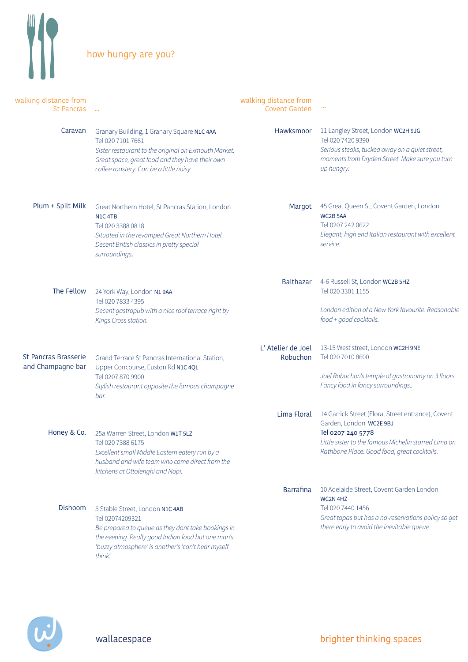

## how hungry are you?

| walking distance from<br><b>St Pancras</b> | $\sim$                                                                                                                                                                                                                                | walking distance from<br>Covent Garden |                                                                                                                                                                                                           |
|--------------------------------------------|---------------------------------------------------------------------------------------------------------------------------------------------------------------------------------------------------------------------------------------|----------------------------------------|-----------------------------------------------------------------------------------------------------------------------------------------------------------------------------------------------------------|
| Caravan                                    | Granary Building, 1 Granary Square N1C 4AA<br>Tel 020 7101 7661<br>Sister restaurant to the original on Exmouth Market.<br>Great space, great food and they have their own<br>coffee roastery. Can be a little noisy.                 | Hawksmoor                              | 11 Langley Street, London WC2H 9JG<br>Tel 020 7420 9390<br>Serious steaks, tucked away on a quiet street,<br>moments from Dryden Street. Make sure you turn<br>up hungry.                                 |
| Plum + Spilt Milk                          | Great Northern Hotel, St Pancras Station, London<br>N <sub>1</sub> C <sub>4</sub> T <sub>B</sub><br>Tel 020 3388 0818<br>Situated in the revamped Great Northern Hotel.<br>Decent British classics in pretty special<br>surroundings. | Margot                                 | 45 Great Queen St, Covent Garden, London<br>WC2B 5AA<br>Tel 0207 242 0622<br>Elegant, high end Italian restaurant with excellent<br>service.                                                              |
| The Fellow                                 | 24 York Way, London N1 9AA<br>Tel 020 7833 4395<br>Decent gastropub with a nice roof terrace right by<br>Kings Cross station.                                                                                                         | <b>Balthazar</b>                       | 4-6 Russell St, London WC2B 5HZ<br>Tel 020 3301 1155<br>London edition of a New York favourite. Reasonable<br>food + good cocktails.                                                                      |
| St Pancras Brasserie<br>and Champagne bar  | Grand Terrace St Pancras International Station,<br>Upper Concourse, Euston Rd N1C 4QL<br>Tel 0207 870 9900<br>Stylish restaurant opposite the famous champagne<br>bar.                                                                | L' Atelier de Joel<br>Robuchon         | 13-15 West street, London WC2H 9NE<br>Tel 020 7010 8600<br>Joel Robuchon's temple of gastronomy on 3 floors.<br>Fancy food in fancy surroundings                                                          |
| Honey & Co.                                | 25a Warren Street, London W1T 5LZ<br>Tel 020 7388 6175<br>Excellent small Middle Eastern eatery run by a<br>husband and wife team who come direct from the<br>kitchens at Ottolenghi and Nopi.                                        | Lima Floral                            | 14 Garrick Street (Floral Street entrance), Covent<br>Garden, London WC2E 9BJ<br>Tel 0207 240 5778<br>Little sister to the famous Michelin starred Lima on<br>Rathbone Place. Good food, great cocktails. |
| Dishoom                                    | 5 Stable Street, London N1C 4AB<br>Tel 02074209321<br>Be prepared to queue as they dont take bookings in<br>the evening. Really good Indian food but one man's<br>'buzzy atmosphere' is another's 'can't hear myself<br>think.        | <b>Barrafina</b>                       | 10 Adelaide Street, Covent Garden London<br>WC2N 4HZ<br>Tel 020 7440 1456<br>Great tapas but has a no-reservations policy so get<br>there early to avoid the inevitable queue.                            |

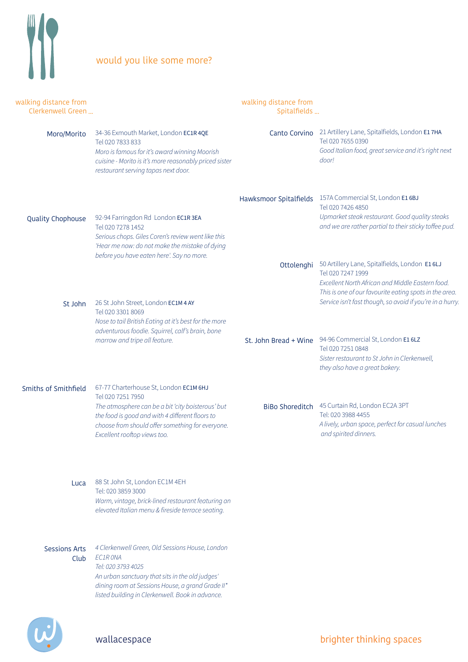

## would you like some more?

| walking distance from<br>Clerkenwell Green |                                                                                                                                                                                                                                                         | walking distance from<br>Spitalfields |                                                                                                                                                                                          |
|--------------------------------------------|---------------------------------------------------------------------------------------------------------------------------------------------------------------------------------------------------------------------------------------------------------|---------------------------------------|------------------------------------------------------------------------------------------------------------------------------------------------------------------------------------------|
| Moro/Morito                                | 34-36 Exmouth Market, London EC1R 4QE<br>Tel 020 7833 833<br>Moro is famous for it's award winning Moorish<br>cuisine - Morito is it's more reasonably priced sister<br>restaurant serving tapas next door.                                             | Canto Corvino                         | 21 Artillery Lane, Spitalfields, London E1 7HA<br>Tel 020 7655 0390<br>Good Italian food, great service and it's right next<br>door!                                                     |
| <b>Quality Chophouse</b>                   | 92-94 Farringdon Rd London EC1R 3EA<br>Tel 020 7278 1452<br>Serious chops. Giles Coren's review went like this<br>'Hear me now: do not make the mistake of dying<br>before you have eaten here'. Say no more.                                           |                                       | Hawksmoor Spitalfields 157A Commercial St, London E1 6BJ<br>Tel 020 7426 4850<br>Upmarket steak restaurant. Good quality steaks<br>and we are rather partial to their sticky toffee pud. |
|                                            |                                                                                                                                                                                                                                                         | Ottolenghi                            | 50 Artillery Lane, Spitalfields, London E1 6LJ<br>Tel 020 7247 1999<br>Excellent North African and Middle Eastern food.                                                                  |
| St John                                    | 26 St John Street, London EC1M 4 AY<br>Tel 020 3301 8069<br>Nose to tail British Eating at it's best for the more<br>adventurous foodie. Squirrel, calf's brain, bone                                                                                   |                                       | This is one of our favourite eating spots in the area.<br>Service isn't fast though, so avoid if you're in a hurry.                                                                      |
|                                            | marrow and tripe all feature.                                                                                                                                                                                                                           | St. John Bread + Wine                 | 94-96 Commercial St, London E1 6LZ<br>Tel 020 7251 0848<br>Sister restaurant to St John in Clerkenwell,<br>they also have a great bakery.                                                |
| Smiths of Smithfield                       | 67-77 Charterhouse St, London EC1M 6HJ<br>Tel 020 7251 7950<br>The atmosphere can be a bit 'city boisterous' but<br>the food is good and with 4 different floors to<br>choose from should offer something for everyone.<br>Excellent rooftop views too. |                                       | BiBo Shoreditch 45 Curtain Rd, London EC2A 3PT<br>Tel: 020 3988 4455<br>A lively, urban space, perfect for casual lunches<br>and spirited dinners.                                       |
| Luca                                       | 88 St John St, London EC1M 4EH<br>Tel: 020 3859 3000<br>Warm, vintage, brick-lined restaurant featuring an<br>elevated Italian menu & fireside terrace seating.                                                                                         |                                       |                                                                                                                                                                                          |
| <b>Sessions Arts</b><br>Club               | 4 Clerkenwell Green, Old Sessions House, London<br>EC1R ONA<br>Tel: 020 3793 4025<br>An urban sanctuary that sits in the old judges'<br>dining room at Sessions House, a grand Grade II*<br>listed building in Clerkenwell. Book in advance.            |                                       |                                                                                                                                                                                          |
|                                            |                                                                                                                                                                                                                                                         |                                       |                                                                                                                                                                                          |